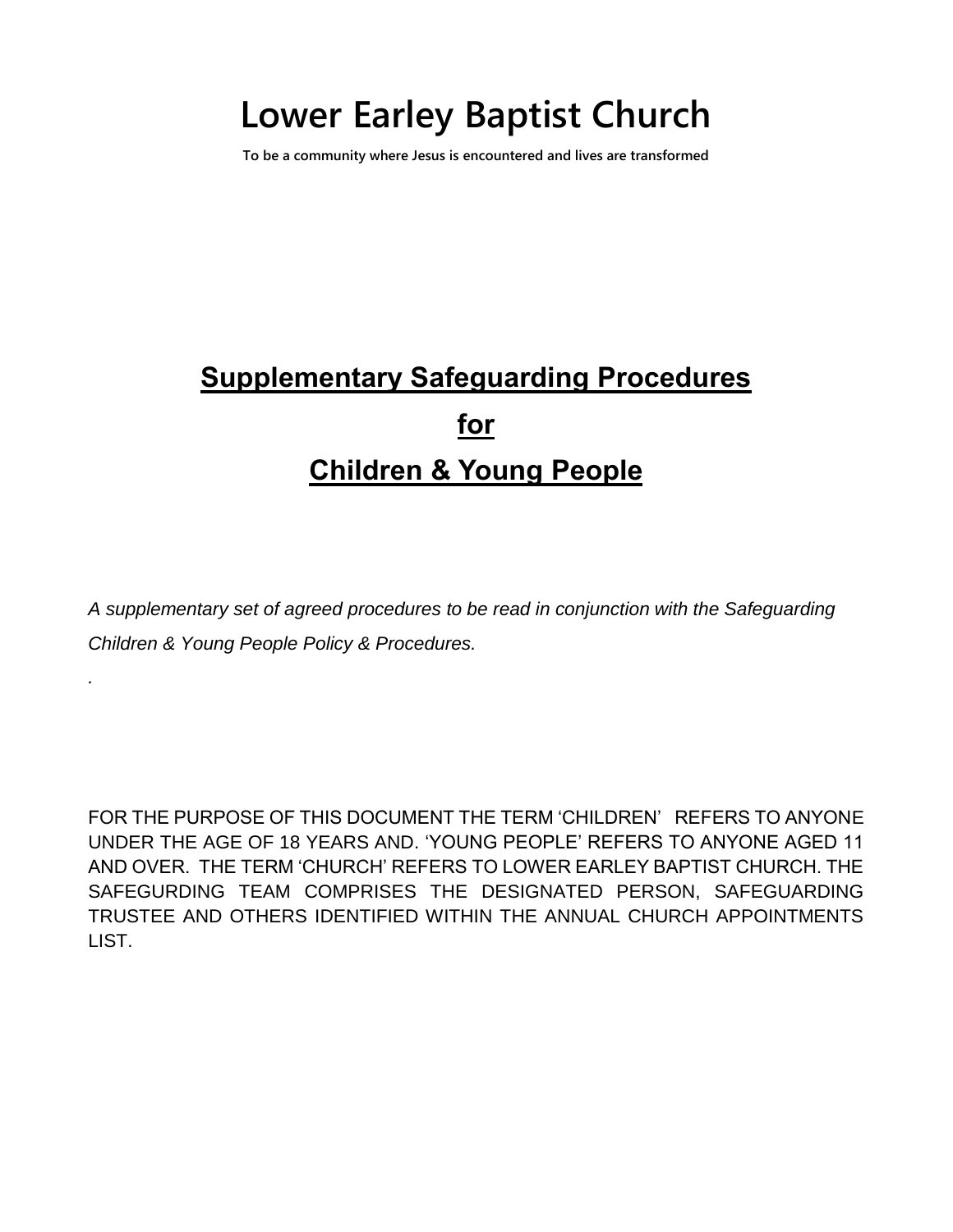# **Lower Earley Baptist Church**

**To be a community where Jesus is encountered and lives are transformed**

# **Supplementary Safeguarding Procedures for Children & Young People**

*A supplementary set of agreed procedures to be read in conjunction with the Safeguarding Children & Young People Policy & Procedures.*

*.*

FOR THE PURPOSE OF THIS DOCUMENT THE TERM 'CHILDREN' REFERS TO ANYONE UNDER THE AGE OF 18 YEARS AND. 'YOUNG PEOPLE' REFERS TO ANYONE AGED 11 AND OVER. THE TERM 'CHURCH' REFERS TO LOWER EARLEY BAPTIST CHURCH. THE SAFEGURDING TEAM COMPRISES THE DESIGNATED PERSON, SAFEGUARDING TRUSTEE AND OTHERS IDENTIFIED WITHIN THE ANNUAL CHURCH APPOINTMENTS LIST.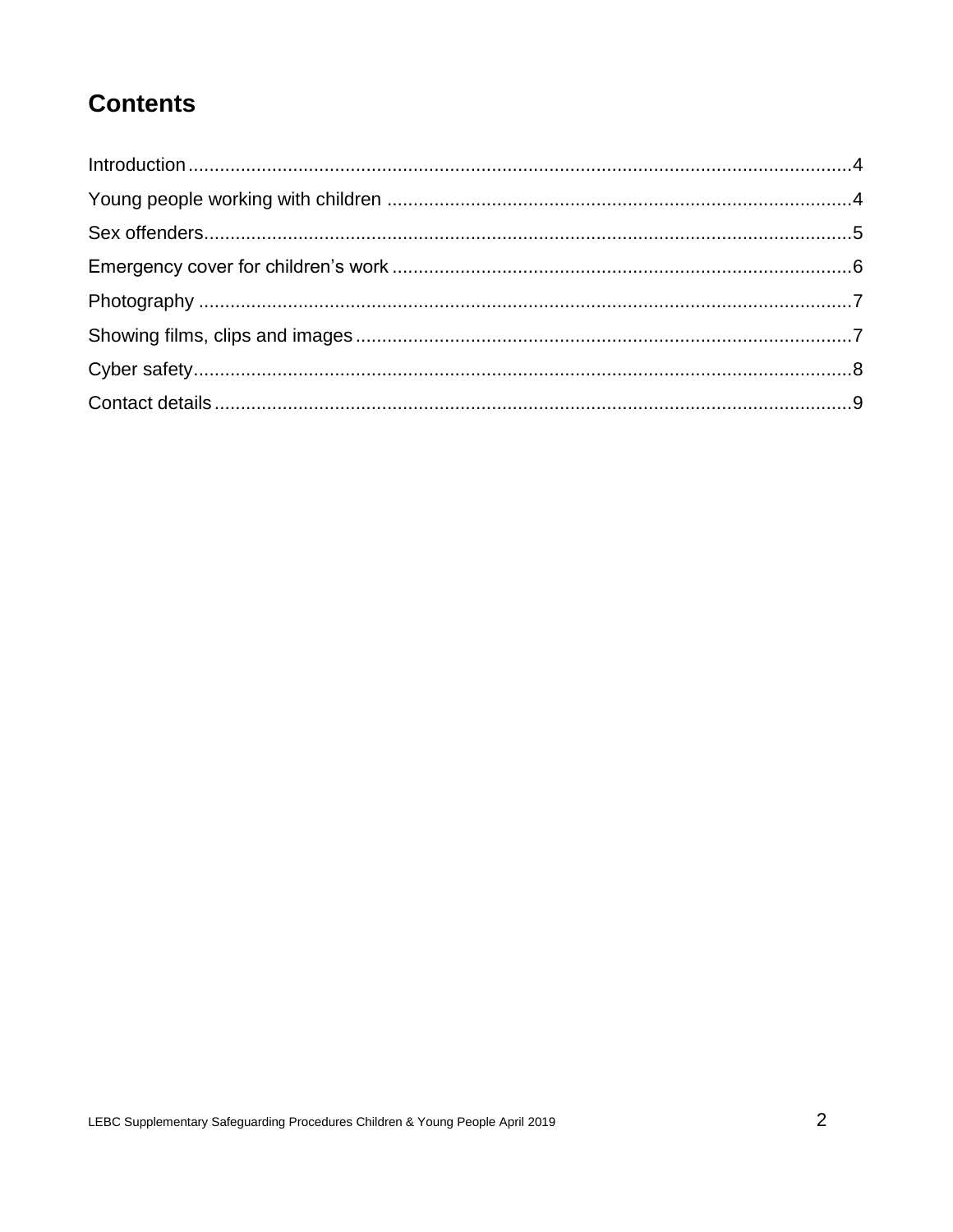# **Contents**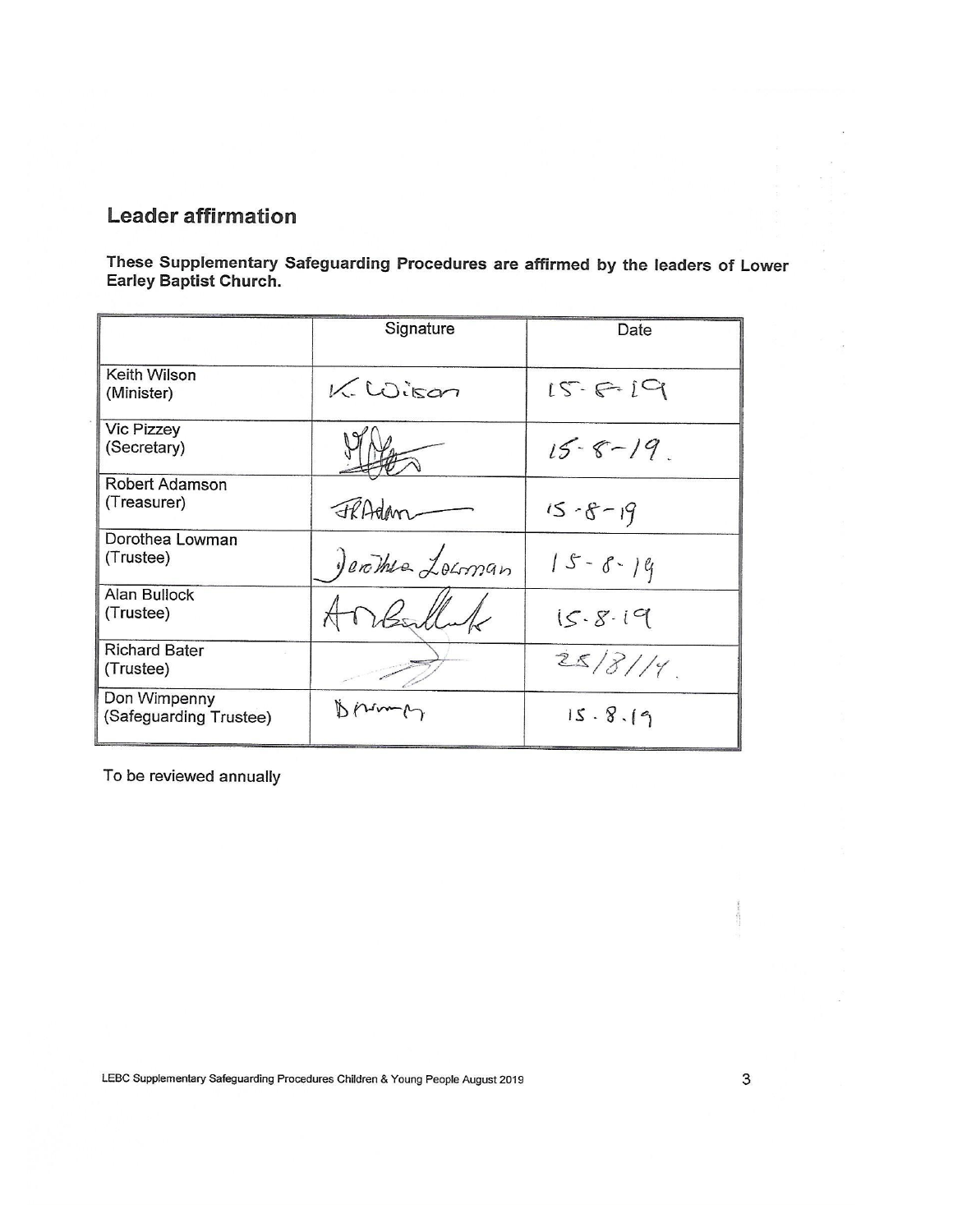#### **Leader affirmation**

These Supplementary Safeguarding Procedures are affirmed by the leaders of Lower<br>Earley Baptist Church.

|                                        | Signature        | Date          |
|----------------------------------------|------------------|---------------|
| Keith Wilson<br>(Minister)             | $K.$ Wisan       | $15 - 6 - 19$ |
| <b>Vic Pizzey</b><br>(Secretary)       |                  | $15 - 8 - 19$ |
| Robert Adamson<br>(Treasurer)          | FRAdam           | $15 - 8 - 19$ |
| Dorothea Lowman<br>(Trustee)           | Jerother Locoman | $15 - 8 - 19$ |
| Alan Bullock<br>(Trustee)              |                  | 15.8.19       |
| <b>Richard Bater</b><br>(Trustee)      |                  | 25/8/14       |
| Don Wimpenny<br>(Safeguarding Trustee) |                  | 15.8.19       |

To be reviewed annually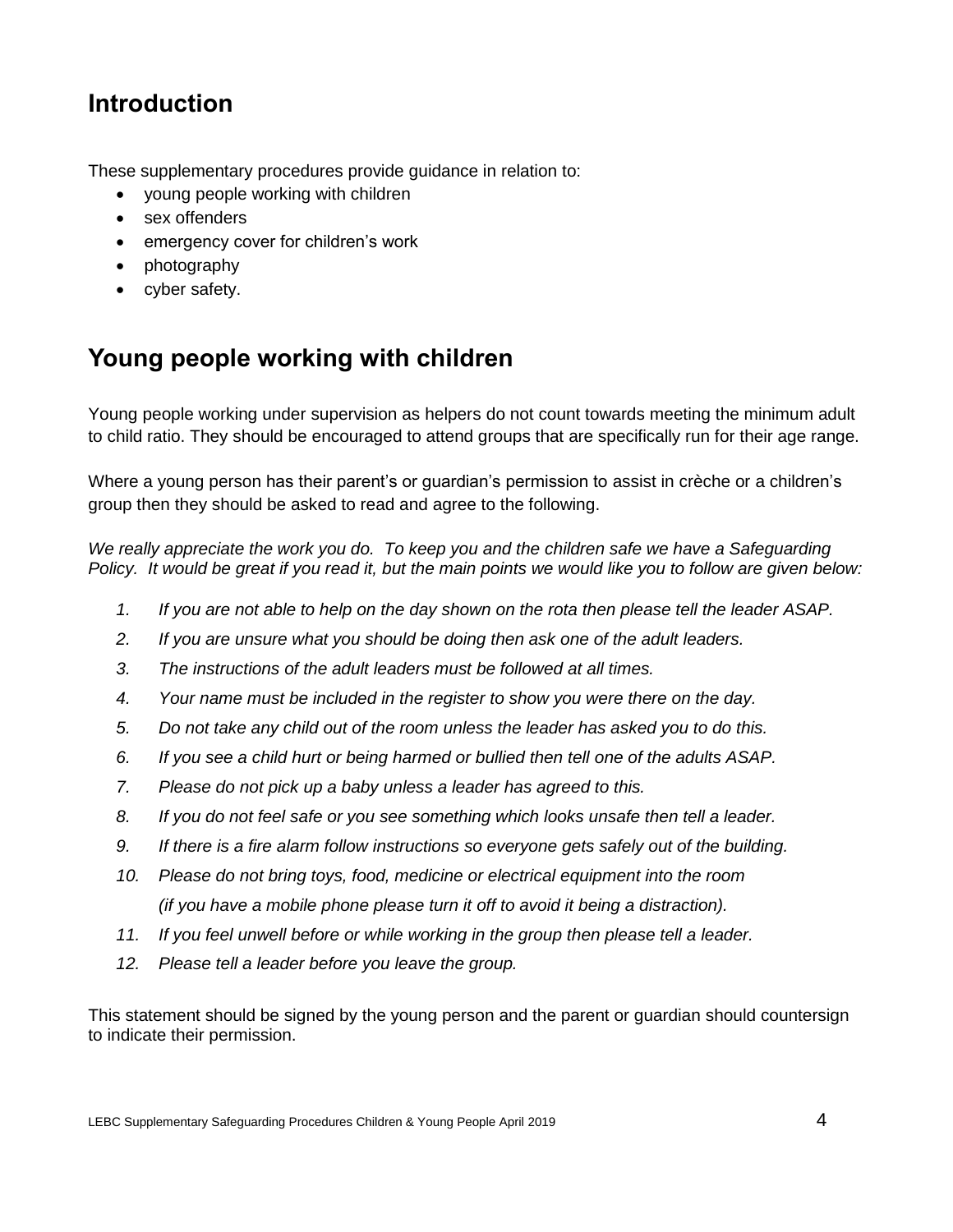### <span id="page-3-0"></span>**Introduction**

These supplementary procedures provide guidance in relation to:

- young people working with children
- sex offenders
- emergency cover for children's work
- photography
- cyber safety.

# <span id="page-3-1"></span>**Young people working with children**

Young people working under supervision as helpers do not count towards meeting the minimum adult to child ratio. They should be encouraged to attend groups that are specifically run for their age range.

Where a young person has their parent's or guardian's permission to assist in crèche or a children's group then they should be asked to read and agree to the following.

*We really appreciate the work you do. To keep you and the children safe we have a Safeguarding Policy. It would be great if you read it, but the main points we would like you to follow are given below:*

- *1. If you are not able to help on the day shown on the rota then please tell the leader ASAP.*
- *2. If you are unsure what you should be doing then ask one of the adult leaders.*
- *3. The instructions of the adult leaders must be followed at all times.*
- *4. Your name must be included in the register to show you were there on the day.*
- *5. Do not take any child out of the room unless the leader has asked you to do this.*
- *6. If you see a child hurt or being harmed or bullied then tell one of the adults ASAP.*
- *7. Please do not pick up a baby unless a leader has agreed to this.*
- *8. If you do not feel safe or you see something which looks unsafe then tell a leader.*
- *9. If there is a fire alarm follow instructions so everyone gets safely out of the building.*
- *10. Please do not bring toys, food, medicine or electrical equipment into the room (if you have a mobile phone please turn it off to avoid it being a distraction).*
- *11. If you feel unwell before or while working in the group then please tell a leader.*
- *12. Please tell a leader before you leave the group.*

This statement should be signed by the young person and the parent or guardian should countersign to indicate their permission.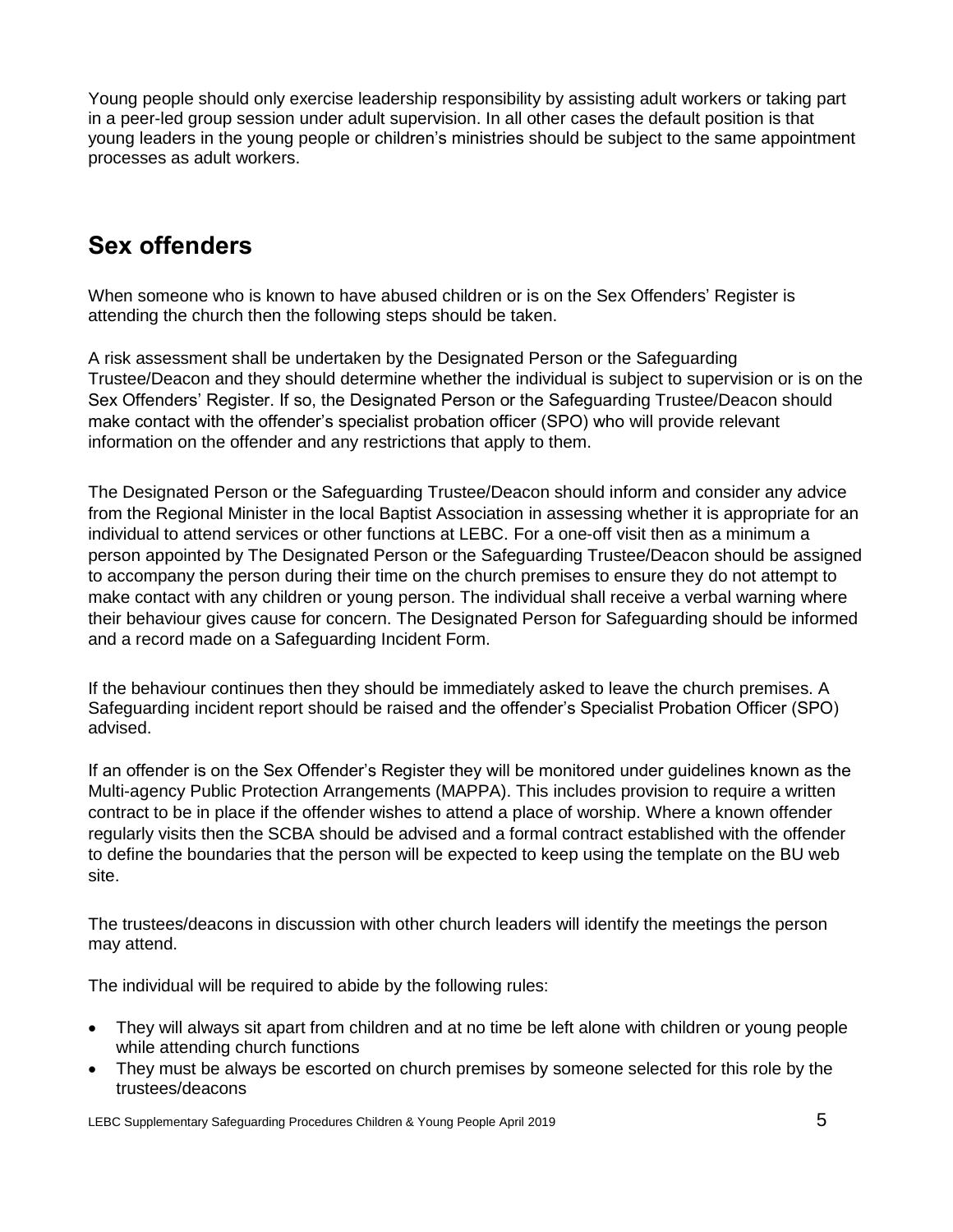Young people should only exercise leadership responsibility by assisting adult workers or taking part in a peer-led group session under adult supervision. In all other cases the default position is that young leaders in the young people or children's ministries should be subject to the same appointment processes as adult workers.

#### <span id="page-4-0"></span>**Sex offenders**

When someone who is known to have abused children or is on the Sex Offenders' Register is attending the church then the following steps should be taken.

A risk assessment shall be undertaken by the Designated Person or the Safeguarding Trustee/Deacon and they should determine whether the individual is subject to supervision or is on the Sex Offenders' Register. If so, the Designated Person or the Safeguarding Trustee/Deacon should make contact with the offender's specialist probation officer (SPO) who will provide relevant information on the offender and any restrictions that apply to them.

The Designated Person or the Safeguarding Trustee/Deacon should inform and consider any advice from the Regional Minister in the local Baptist Association in assessing whether it is appropriate for an individual to attend services or other functions at LEBC. For a one-off visit then as a minimum a person appointed by The Designated Person or the Safeguarding Trustee/Deacon should be assigned to accompany the person during their time on the church premises to ensure they do not attempt to make contact with any children or young person. The individual shall receive a verbal warning where their behaviour gives cause for concern. The Designated Person for Safeguarding should be informed and a record made on a Safeguarding Incident Form.

If the behaviour continues then they should be immediately asked to leave the church premises. A Safeguarding incident report should be raised and the offender's Specialist Probation Officer (SPO) advised.

If an offender is on the Sex Offender's Register they will be monitored under guidelines known as the Multi-agency Public Protection Arrangements (MAPPA). This includes provision to require a written contract to be in place if the offender wishes to attend a place of worship. Where a known offender regularly visits then the SCBA should be advised and a formal contract established with the offender to define the boundaries that the person will be expected to keep using the template on the BU web site.

The trustees/deacons in discussion with other church leaders will identify the meetings the person may attend.

The individual will be required to abide by the following rules:

- They will always sit apart from children and at no time be left alone with children or young people while attending church functions
- They must be always be escorted on church premises by someone selected for this role by the trustees/deacons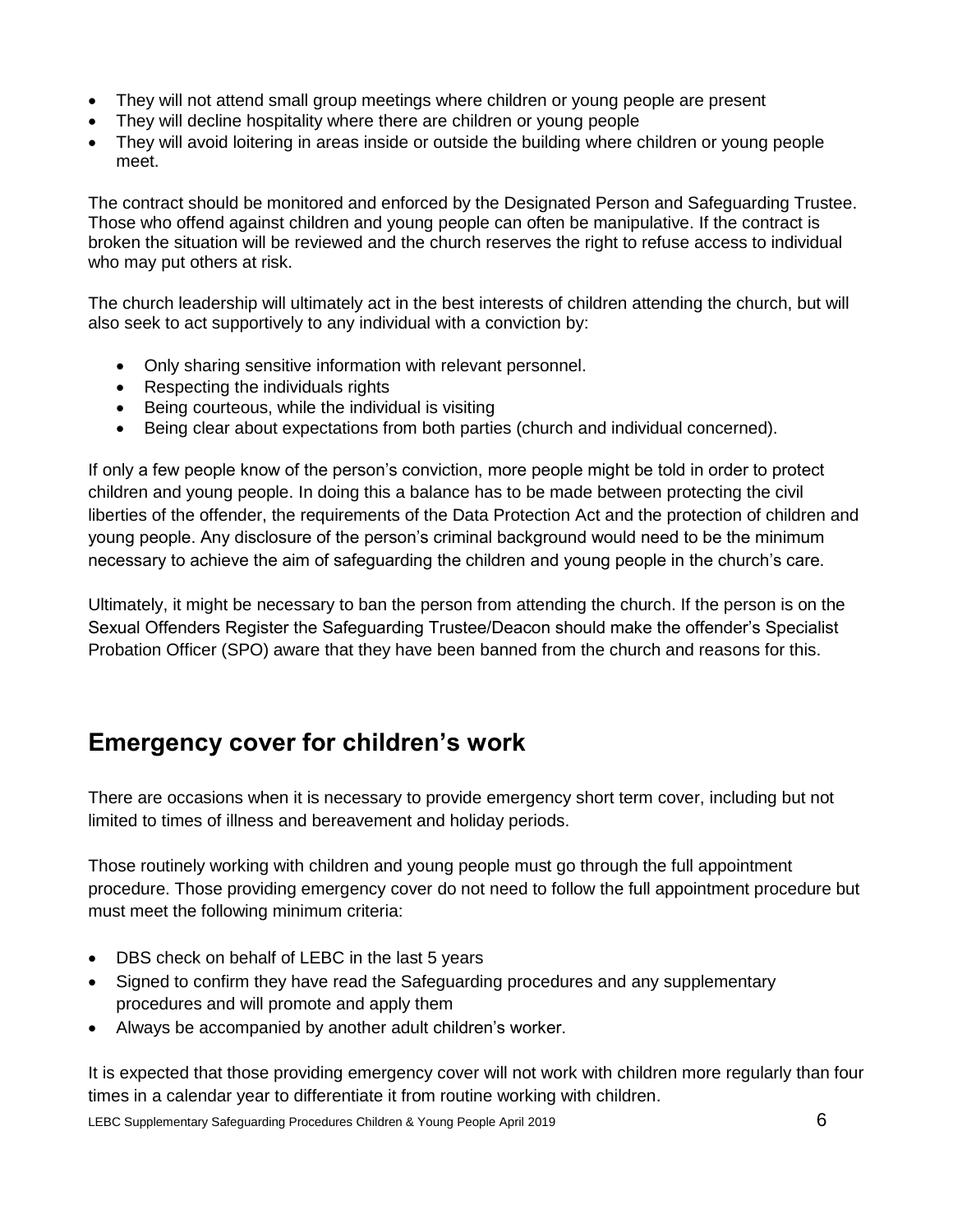- They will not attend small group meetings where children or young people are present
- They will decline hospitality where there are children or young people
- They will avoid loitering in areas inside or outside the building where children or young people meet.

The contract should be monitored and enforced by the Designated Person and Safeguarding Trustee. Those who offend against children and young people can often be manipulative. If the contract is broken the situation will be reviewed and the church reserves the right to refuse access to individual who may put others at risk.

The church leadership will ultimately act in the best interests of children attending the church, but will also seek to act supportively to any individual with a conviction by:

- Only sharing sensitive information with relevant personnel.
- Respecting the individuals rights
- Being courteous, while the individual is visiting
- Being clear about expectations from both parties (church and individual concerned).

If only a few people know of the person's conviction, more people might be told in order to protect children and young people. In doing this a balance has to be made between protecting the civil liberties of the offender, the requirements of the Data Protection Act and the protection of children and young people. Any disclosure of the person's criminal background would need to be the minimum necessary to achieve the aim of safeguarding the children and young people in the church's care.

Ultimately, it might be necessary to ban the person from attending the church. If the person is on the Sexual Offenders Register the Safeguarding Trustee/Deacon should make the offender's Specialist Probation Officer (SPO) aware that they have been banned from the church and reasons for this.

#### <span id="page-5-0"></span>**Emergency cover for children's work**

There are occasions when it is necessary to provide emergency short term cover, including but not limited to times of illness and bereavement and holiday periods.

Those routinely working with children and young people must go through the full appointment procedure. Those providing emergency cover do not need to follow the full appointment procedure but must meet the following minimum criteria:

- DBS check on behalf of LEBC in the last 5 years
- Signed to confirm they have read the Safeguarding procedures and any supplementary procedures and will promote and apply them
- Always be accompanied by another adult children's worker.

It is expected that those providing emergency cover will not work with children more regularly than four times in a calendar year to differentiate it from routine working with children.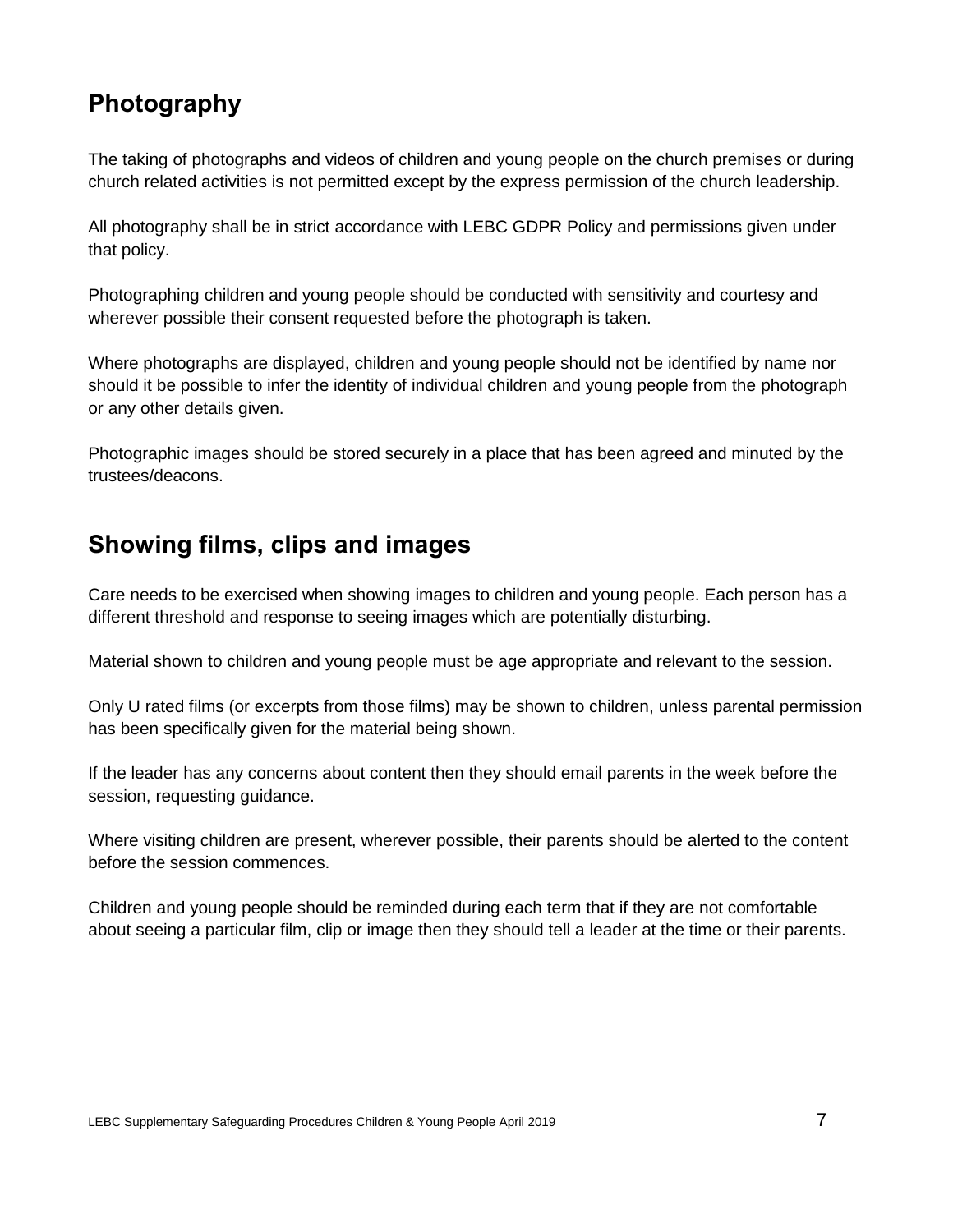### <span id="page-6-0"></span>**Photography**

The taking of photographs and videos of children and young people on the church premises or during church related activities is not permitted except by the express permission of the church leadership.

All photography shall be in strict accordance with LEBC GDPR Policy and permissions given under that policy.

Photographing children and young people should be conducted with sensitivity and courtesy and wherever possible their consent requested before the photograph is taken.

Where photographs are displayed, children and young people should not be identified by name nor should it be possible to infer the identity of individual children and young people from the photograph or any other details given.

Photographic images should be stored securely in a place that has been agreed and minuted by the trustees/deacons.

#### <span id="page-6-1"></span>**Showing films, clips and images**

Care needs to be exercised when showing images to children and young people. Each person has a different threshold and response to seeing images which are potentially disturbing.

Material shown to children and young people must be age appropriate and relevant to the session.

Only U rated films (or excerpts from those films) may be shown to children, unless parental permission has been specifically given for the material being shown.

If the leader has any concerns about content then they should email parents in the week before the session, requesting guidance.

Where visiting children are present, wherever possible, their parents should be alerted to the content before the session commences.

Children and young people should be reminded during each term that if they are not comfortable about seeing a particular film, clip or image then they should tell a leader at the time or their parents.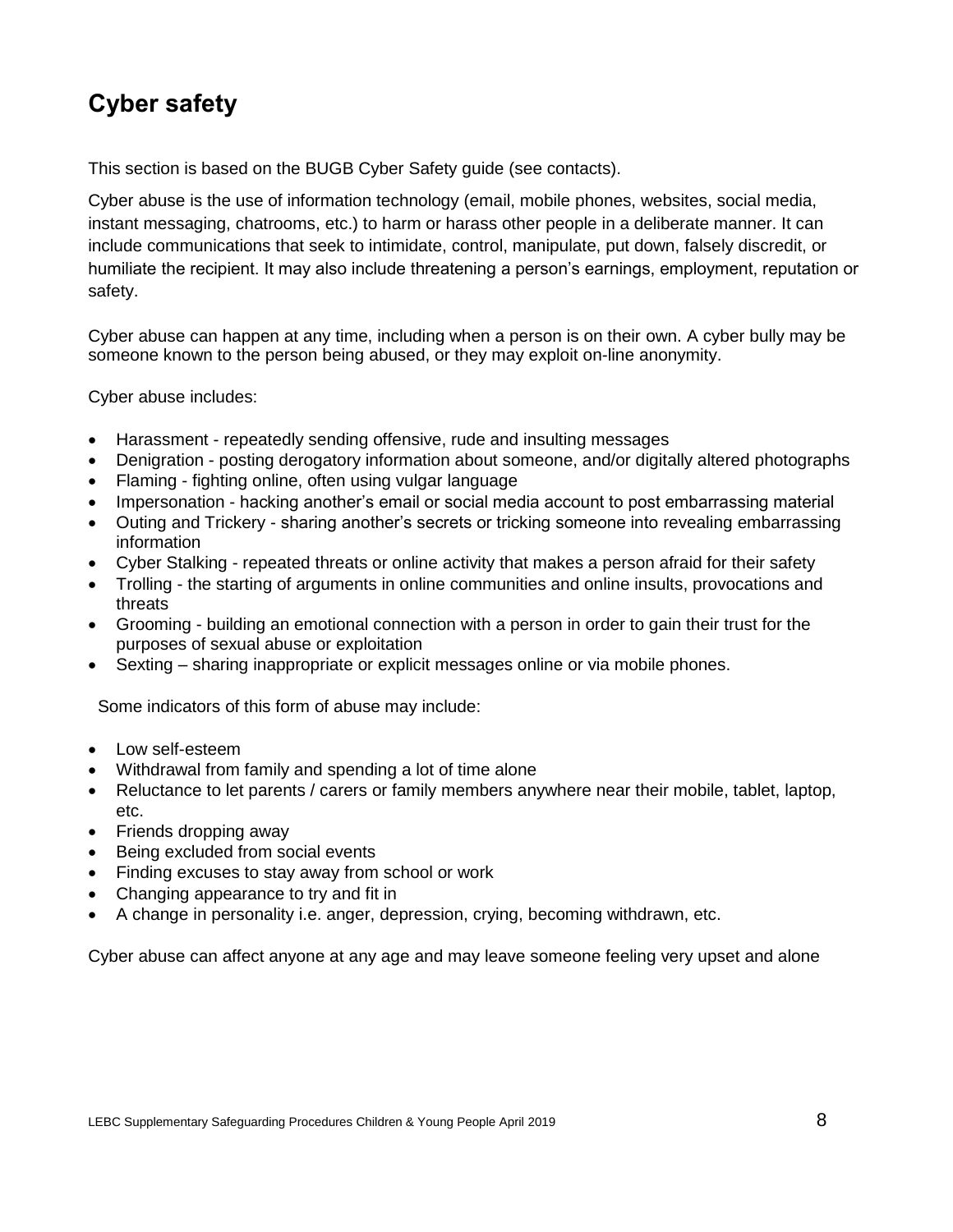### <span id="page-7-0"></span>**Cyber safety**

This section is based on the BUGB Cyber Safety guide (see contacts).

Cyber abuse is the use of information technology (email, mobile phones, websites, social media, instant messaging, chatrooms, etc.) to harm or harass other people in a deliberate manner. It can include communications that seek to intimidate, control, manipulate, put down, falsely discredit, or humiliate the recipient. It may also include threatening a person's earnings, employment, reputation or safety.

Cyber abuse can happen at any time, including when a person is on their own. A cyber bully may be someone known to the person being abused, or they may exploit on-line anonymity.

Cyber abuse includes:

- Harassment repeatedly sending offensive, rude and insulting messages
- Denigration posting derogatory information about someone, and/or digitally altered photographs
- Flaming fighting online, often using vulgar language
- Impersonation hacking another's email or social media account to post embarrassing material
- Outing and Trickery sharing another's secrets or tricking someone into revealing embarrassing information
- Cyber Stalking repeated threats or online activity that makes a person afraid for their safety
- Trolling the starting of arguments in online communities and online insults, provocations and threats
- Grooming building an emotional connection with a person in order to gain their trust for the purposes of sexual abuse or exploitation
- Sexting sharing inappropriate or explicit messages online or via mobile phones.

Some indicators of this form of abuse may include:

- Low self-esteem
- Withdrawal from family and spending a lot of time alone
- Reluctance to let parents / carers or family members anywhere near their mobile, tablet, laptop, etc.
- Friends dropping away
- Being excluded from social events
- Finding excuses to stay away from school or work
- Changing appearance to try and fit in
- A change in personality i.e. anger, depression, crying, becoming withdrawn, etc.

Cyber abuse can affect anyone at any age and may leave someone feeling very upset and alone